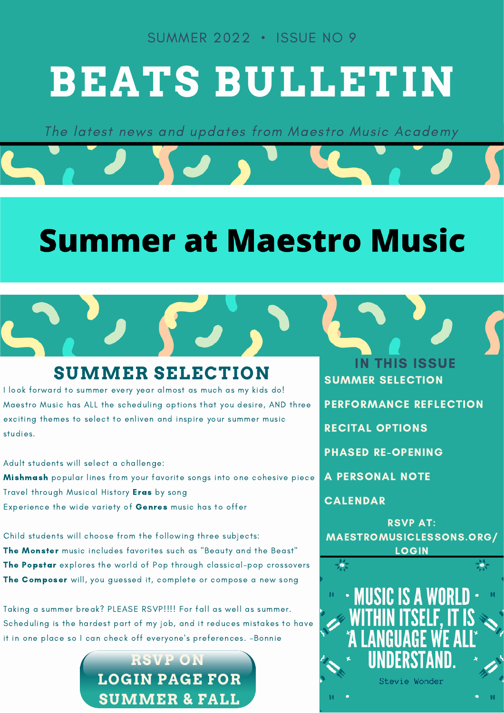SUMMER 2022 • ISSUE NO 9

# **BEATS BULLETIN**

The latest news and updates from Maestro Music Academy

## **Summer at Maestro Music**

#### **SUMMER SELECTION** SUMMER SELECTION

I look forward to summer every year almost as much as my kids do! Maestro Music has ALL the scheduling options that you desire, AND three exciting themes to select to enliven and inspire your summer music studies.

Adult students will select a challenge:

Mishmash popular lines from your favorite songs into one cohesive piece Travel through Musical History Eras by song Experience the wide variety of Genres music has to offer

Child students will choose from the following three subjects: The Monster music includes favorites such as "Beauty and the Beast" The Popstar explores the world of Pop through classical-pop crossovers The Composer will, you guessed it, complete or compose a new song

Taking a summer break? PLEASE RSVP!!!! For fall as well as summer. Scheduling is the hardest part of my job, and it reduces mistakes to have it in one place so I can check off everyone's preferences. -Bonnie



IN THIS ISSUE

PERFORMANCE REFLECTION

RECITAL OPTIONS

PHASED RE-OPENING

A PERSONAL NOTE

CALENDAR

RSVP AT: MAESTROMUSICLESSONS.ORG/ LOGIN

• MUSIC IS A WORI Stevie Wonder